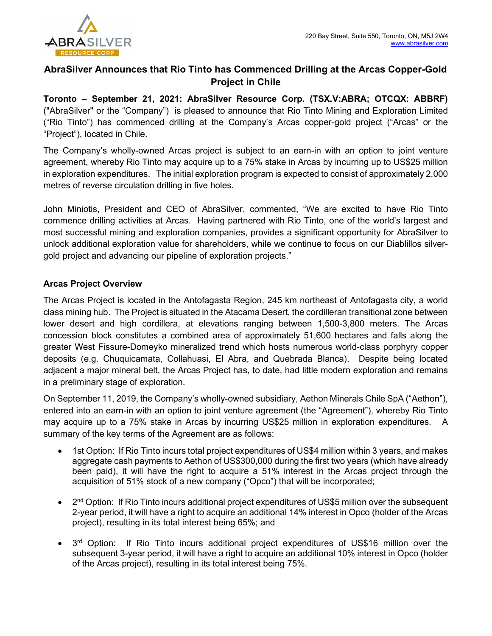

## AbraSilver Announces that Rio Tinto has Commenced Drilling at the Arcas Copper-Gold Project in Chile

Toronto – September 21, 2021: AbraSilver Resource Corp. (TSX.V:ABRA; OTCQX: ABBRF) ("AbraSilver" or the "Company") is pleased to announce that Rio Tinto Mining and Exploration Limited ("Rio Tinto") has commenced drilling at the Company's Arcas copper-gold project ("Arcas" or the "Project"), located in Chile.

The Company's wholly-owned Arcas project is subject to an earn-in with an option to joint venture agreement, whereby Rio Tinto may acquire up to a 75% stake in Arcas by incurring up to US\$25 million in exploration expenditures. The initial exploration program is expected to consist of approximately 2,000 metres of reverse circulation drilling in five holes.

John Miniotis, President and CEO of AbraSilver, commented, "We are excited to have Rio Tinto commence drilling activities at Arcas. Having partnered with Rio Tinto, one of the world's largest and most successful mining and exploration companies, provides a significant opportunity for AbraSilver to unlock additional exploration value for shareholders, while we continue to focus on our Diablillos silvergold project and advancing our pipeline of exploration projects."

## Arcas Project Overview

The Arcas Project is located in the Antofagasta Region, 245 km northeast of Antofagasta city, a world class mining hub. The Project is situated in the Atacama Desert, the cordilleran transitional zone between lower desert and high cordillera, at elevations ranging between 1,500-3,800 meters. The Arcas concession block constitutes a combined area of approximately 51,600 hectares and falls along the greater West Fissure-Domeyko mineralized trend which hosts numerous world-class porphyry copper deposits (e.g. Chuquicamata, Collahuasi, El Abra, and Quebrada Blanca). Despite being located adjacent a major mineral belt, the Arcas Project has, to date, had little modern exploration and remains in a preliminary stage of exploration.

On September 11, 2019, the Company's wholly-owned subsidiary, Aethon Minerals Chile SpA ("Aethon"), entered into an earn-in with an option to joint venture agreement (the "Agreement"), whereby Rio Tinto may acquire up to a 75% stake in Arcas by incurring US\$25 million in exploration expenditures. A summary of the key terms of the Agreement are as follows:

- 1st Option: If Rio Tinto incurs total project expenditures of US\$4 million within 3 years, and makes aggregate cash payments to Aethon of US\$300,000 during the first two years (which have already been paid), it will have the right to acquire a 51% interest in the Arcas project through the acquisition of 51% stock of a new company ("Opco") that will be incorporated;
- 2<sup>nd</sup> Option: If Rio Tinto incurs additional project expenditures of US\$5 million over the subsequent 2-year period, it will have a right to acquire an additional 14% interest in Opco (holder of the Arcas project), resulting in its total interest being 65%; and
- 3<sup>rd</sup> Option: If Rio Tinto incurs additional project expenditures of US\$16 million over the subsequent 3-year period, it will have a right to acquire an additional 10% interest in Opco (holder of the Arcas project), resulting in its total interest being 75%.